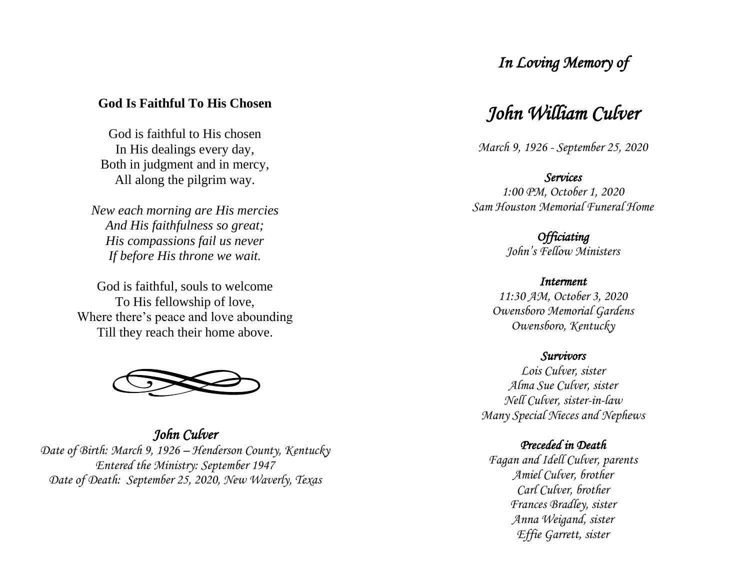## *In Loving Memory of*

### **God Is Faithful To His Chosen**

God is faithful to His chosen In His dealings every day, Both in judgment and in mercy, All along the pilgrim way.

*New each morning are His mercies And His faithfulness so great; His compassions fail us never If before His throne we wait.*

God is faithful, souls to welcome To His fellowship of love, Where there's peace and love abounding Till they reach their home above.



*John Culver Date of Birth: March 9, 1926 – Henderson County, Kentucky Entered the Ministry: September 1947 Date of Death: September 25, 2020, New Waverly, Texas* 

## *John William Culver*

*March 9, 1926 - September 25, 2020* 

*Services 1:00 PM, October 1, 2020 Sam Houston Memorial Funeral Home* 

> *Officiating John 's Fellow Ministers*

*Interment 11:30 AM, October 3, 2020 Owensboro Memorial Gardens Owensboro, Kentucky* 

#### *Survivors*

*Lois Culver, sister Alma Sue Culver, sister Nell Culver, sister-in -law Many Special Nieces and Nephews*

#### *Preceded in Deat h*

*Fagan and Idell Culver, parents Amie l Culver, brother Carl Culver, brother Frances Bradley, sister Anna Weigand, sister Effie Garrett, sister*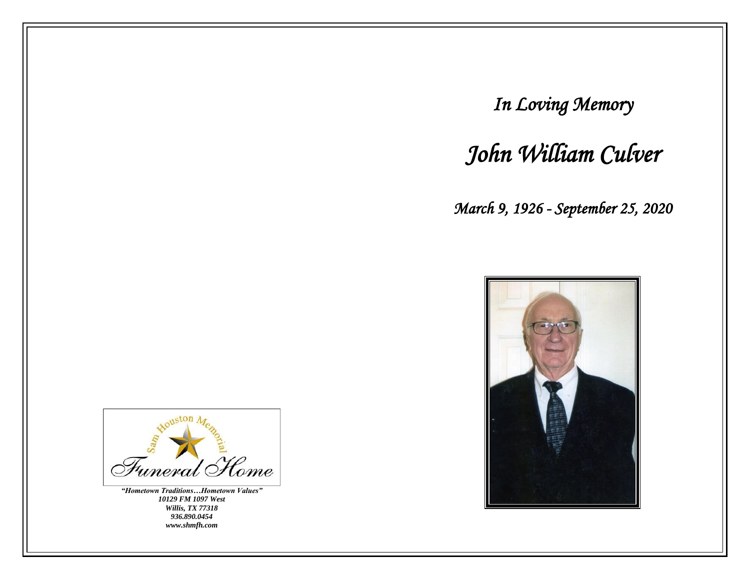*In Loving Memory* 

# *John William Culver*

*March 9, 1926 - September 25, 2020* 





*"Hometown Traditions…Hometown Values" 10129 FM 1097 West Willis, TX 77318 936.890.0454 www.shmfh.com*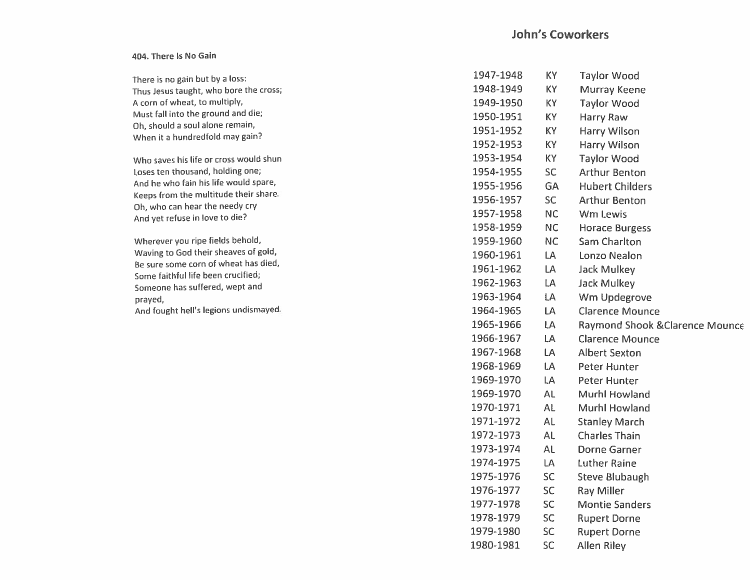## **John's Coworkers**

#### 404. There Is No Gain

| There is no gain but by a loss:                                      | 1947-1948 | <b>KY</b> | <b>Taylor Wood</b>                         |
|----------------------------------------------------------------------|-----------|-----------|--------------------------------------------|
| Thus Jesus taught, who bore the cross;                               | 1948-1949 | <b>KY</b> | <b>Murray Keene</b>                        |
| A corn of wheat, to multiply,                                        | 1949-1950 | KY        | <b>Taylor Wood</b>                         |
| Must fall into the ground and die;                                   | 1950-1951 | <b>KY</b> | <b>Harry Raw</b>                           |
| Oh, should a soul alone remain,<br>When it a hundredfold may gain?   | 1951-1952 | KY        | <b>Harry Wilson</b>                        |
|                                                                      | 1952-1953 | KY        | <b>Harry Wilson</b>                        |
| Who saves his life or cross would shun                               | 1953-1954 | KY        | <b>Taylor Wood</b>                         |
| Loses ten thousand, holding one;                                     | 1954-1955 | SC        | <b>Arthur Benton</b>                       |
| And he who fain his life would spare,                                | 1955-1956 | <b>GA</b> | <b>Hubert Childers</b>                     |
| Keeps from the multitude their share.                                | 1956-1957 | SC.       | <b>Arthur Benton</b>                       |
| Oh, who can hear the needy cry<br>And yet refuse in love to die?     | 1957-1958 | <b>NC</b> | Wm Lewis                                   |
|                                                                      | 1958-1959 | NC.       | <b>Horace Burgess</b>                      |
| Wherever you ripe fields behold,                                     | 1959-1960 | <b>NC</b> | <b>Sam Charlton</b>                        |
| Waving to God their sheaves of gold,                                 | 1960-1961 | LA        | Lonzo Nealon                               |
| Be sure some corn of wheat has died,                                 | 1961-1962 | LA        | <b>Jack Mulkey</b>                         |
| Some faithful life been crucified;<br>Someone has suffered, wept and | 1962-1963 | LA        | <b>Jack Mulkey</b>                         |
| prayed,                                                              | 1963-1964 | LA        | Wm Updegrove                               |
| And fought hell's legions undismayed.                                | 1964-1965 | LA        | <b>Clarence Mounce</b>                     |
|                                                                      | 1965-1966 | LA        | <b>Raymond Shook &amp; Clarence Mounce</b> |
|                                                                      | 1966-1967 | LA        | <b>Clarence Mounce</b>                     |
|                                                                      | 1967-1968 | LA        | <b>Albert Sexton</b>                       |
|                                                                      | 1968-1969 | <b>LA</b> | Peter Hunter                               |
|                                                                      | 1969-1970 | LA        | <b>Peter Hunter</b>                        |
|                                                                      | 1969-1970 | <b>AL</b> | <b>Murhl Howland</b>                       |
|                                                                      | 1970-1971 | <b>AL</b> | Murhl Howland                              |
|                                                                      | 1971-1972 | AL        | <b>Stanley March</b>                       |
|                                                                      | 1972-1973 | AL.       | <b>Charles Thain</b>                       |
|                                                                      | 1973-1974 | AL        | <b>Dorne Garner</b>                        |
|                                                                      | 1974-1975 | LA        | <b>Luther Raine</b>                        |
|                                                                      | 1975-1976 | <b>SC</b> | <b>Steve Blubaugh</b>                      |
|                                                                      | 1976-1977 | <b>SC</b> | <b>Ray Miller</b>                          |
|                                                                      | 1977-1978 | <b>SC</b> | <b>Montie Sanders</b>                      |
|                                                                      | 1978-1979 | <b>SC</b> | <b>Rupert Dorne</b>                        |
|                                                                      | 1979-1980 | <b>SC</b> | <b>Rupert Dorne</b>                        |
|                                                                      | 1980-1981 | <b>SC</b> | <b>Allen Riley</b>                         |